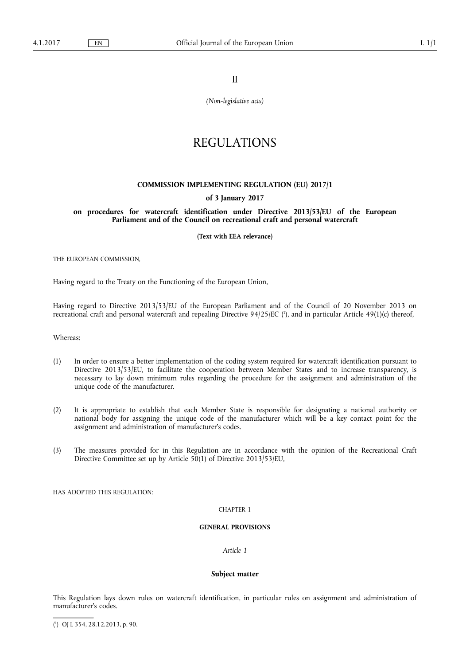II

*(Non-legislative acts)* 

# REGULATIONS

## **COMMISSION IMPLEMENTING REGULATION (EU) 2017/1**

## **of 3 January 2017**

**on procedures for watercraft identification under Directive 2013/53/EU of the European Parliament and of the Council on recreational craft and personal watercraft** 

**(Text with EEA relevance)** 

THE EUROPEAN COMMISSION,

Having regard to the Treaty on the Functioning of the European Union,

Having regard to Directive 2013/53/EU of the European Parliament and of the Council of 20 November 2013 on recreational craft and personal watercraft and repealing Directive 94/25/EC ( 1 ), and in particular Article 49(1)(c) thereof,

Whereas:

- (1) In order to ensure a better implementation of the coding system required for watercraft identification pursuant to Directive 2013/53/EU, to facilitate the cooperation between Member States and to increase transparency, is necessary to lay down minimum rules regarding the procedure for the assignment and administration of the unique code of the manufacturer.
- (2) It is appropriate to establish that each Member State is responsible for designating a national authority or national body for assigning the unique code of the manufacturer which will be a key contact point for the assignment and administration of manufacturer's codes.
- (3) The measures provided for in this Regulation are in accordance with the opinion of the Recreational Craft Directive Committee set up by Article 50(1) of Directive 2013/53/EU,

HAS ADOPTED THIS REGULATION:

#### CHAPTER 1

#### **GENERAL PROVISIONS**

# *Article 1*

# **Subject matter**

This Regulation lays down rules on watercraft identification, in particular rules on assignment and administration of manufacturer's codes.

<sup>(</sup> 1 ) OJ L 354, 28.12.2013, p. 90.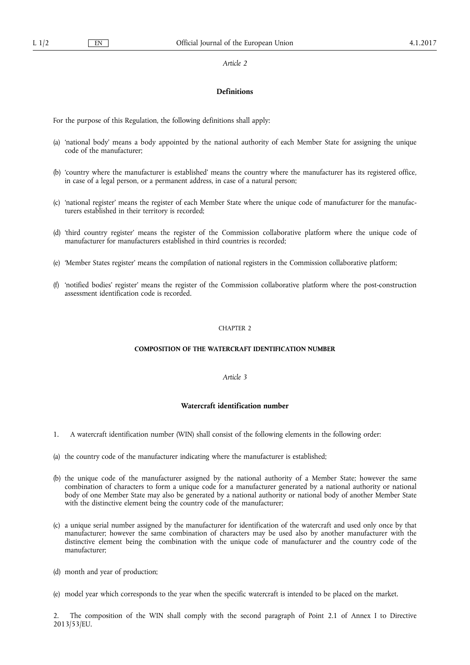#### *Article 2*

# **Definitions**

For the purpose of this Regulation, the following definitions shall apply:

- (a) 'national body' means a body appointed by the national authority of each Member State for assigning the unique code of the manufacturer;
- (b) 'country where the manufacturer is established' means the country where the manufacturer has its registered office, in case of a legal person, or a permanent address, in case of a natural person;
- (c) 'national register' means the register of each Member State where the unique code of manufacturer for the manufacturers established in their territory is recorded;
- (d) 'third country register' means the register of the Commission collaborative platform where the unique code of manufacturer for manufacturers established in third countries is recorded;
- (e) 'Member States register' means the compilation of national registers in the Commission collaborative platform;
- (f) 'notified bodies' register' means the register of the Commission collaborative platform where the post-construction assessment identification code is recorded.

## CHAPTER 2

## **COMPOSITION OF THE WATERCRAFT IDENTIFICATION NUMBER**

## *Article 3*

# **Watercraft identification number**

- 1. A watercraft identification number (WIN) shall consist of the following elements in the following order:
- (a) the country code of the manufacturer indicating where the manufacturer is established;
- (b) the unique code of the manufacturer assigned by the national authority of a Member State; however the same combination of characters to form a unique code for a manufacturer generated by a national authority or national body of one Member State may also be generated by a national authority or national body of another Member State with the distinctive element being the country code of the manufacturer;
- (c) a unique serial number assigned by the manufacturer for identification of the watercraft and used only once by that manufacturer; however the same combination of characters may be used also by another manufacturer with the distinctive element being the combination with the unique code of manufacturer and the country code of the manufacturer;
- (d) month and year of production;
- (e) model year which corresponds to the year when the specific watercraft is intended to be placed on the market.

2. The composition of the WIN shall comply with the second paragraph of Point 2.1 of Annex I to Directive 2013/53/EU.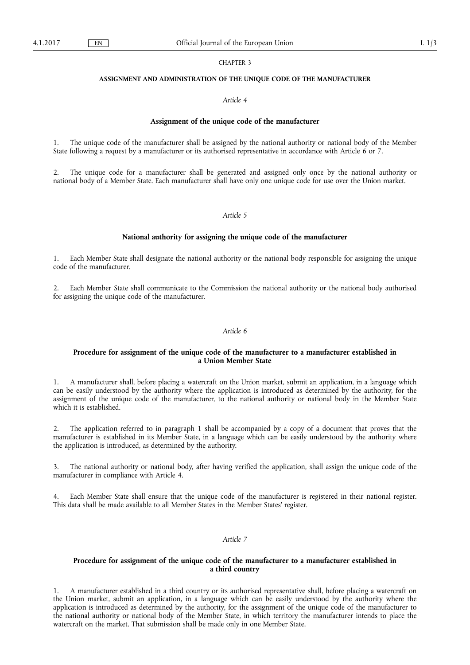## CHAPTER 3

#### **ASSIGNMENT AND ADMINISTRATION OF THE UNIQUE CODE OF THE MANUFACTURER**

## *Article 4*

## **Assignment of the unique code of the manufacturer**

1. The unique code of the manufacturer shall be assigned by the national authority or national body of the Member State following a request by a manufacturer or its authorised representative in accordance with Article 6 or 7.

2. The unique code for a manufacturer shall be generated and assigned only once by the national authority or national body of a Member State. Each manufacturer shall have only one unique code for use over the Union market.

### *Article 5*

## **National authority for assigning the unique code of the manufacturer**

1. Each Member State shall designate the national authority or the national body responsible for assigning the unique code of the manufacturer.

2. Each Member State shall communicate to the Commission the national authority or the national body authorised for assigning the unique code of the manufacturer.

#### *Article 6*

## **Procedure for assignment of the unique code of the manufacturer to a manufacturer established in a Union Member State**

1. A manufacturer shall, before placing a watercraft on the Union market, submit an application, in a language which can be easily understood by the authority where the application is introduced as determined by the authority, for the assignment of the unique code of the manufacturer, to the national authority or national body in the Member State which it is established.

2. The application referred to in paragraph 1 shall be accompanied by a copy of a document that proves that the manufacturer is established in its Member State, in a language which can be easily understood by the authority where the application is introduced, as determined by the authority.

3. The national authority or national body, after having verified the application, shall assign the unique code of the manufacturer in compliance with Article 4.

4. Each Member State shall ensure that the unique code of the manufacturer is registered in their national register. This data shall be made available to all Member States in the Member States' register.

# *Article 7*

## **Procedure for assignment of the unique code of the manufacturer to a manufacturer established in a third country**

1. A manufacturer established in a third country or its authorised representative shall, before placing a watercraft on the Union market, submit an application, in a language which can be easily understood by the authority where the application is introduced as determined by the authority, for the assignment of the unique code of the manufacturer to the national authority or national body of the Member State, in which territory the manufacturer intends to place the watercraft on the market. That submission shall be made only in one Member State.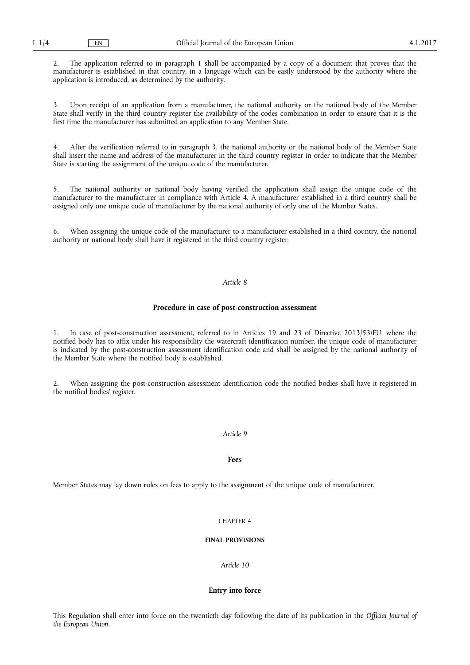2. The application referred to in paragraph 1 shall be accompanied by a copy of a document that proves that the manufacturer is established in that country, in a language which can be easily understood by the authority where the application is introduced, as determined by the authority.

Upon receipt of an application from a manufacturer, the national authority or the national body of the Member State shall verify in the third country register the availability of the codes combination in order to ensure that it is the first time the manufacturer has submitted an application to any Member State.

4. After the verification referred to in paragraph 3, the national authority or the national body of the Member State shall insert the name and address of the manufacturer in the third country register in order to indicate that the Member State is starting the assignment of the unique code of the manufacturer.

5. The national authority or national body having verified the application shall assign the unique code of the manufacturer to the manufacturer in compliance with Article 4. A manufacturer established in a third country shall be assigned only one unique code of manufacturer by the national authority of only one of the Member States.

6. When assigning the unique code of the manufacturer to a manufacturer established in a third country, the national authority or national body shall have it registered in the third country register.

# *Article 8*

## **Procedure in case of post-construction assessment**

1. In case of post-construction assessment, referred to in Articles 19 and 23 of Directive 2013/53/EU, where the notified body has to affix under his responsibility the watercraft identification number, the unique code of manufacturer is indicated by the post-construction assessment identification code and shall be assigned by the national authority of the Member State where the notified body is established.

2. When assigning the post-construction assessment identification code the notified bodies shall have it registered in the notified bodies' register.

### *Article 9*

### **Fees**

Member States may lay down rules on fees to apply to the assignment of the unique code of manufacturer.

### CHAPTER 4

# **FINAL PROVISIONS**

*Article 10* 

## **Entry into force**

This Regulation shall enter into force on the twentieth day following the date of its publication in the *Official Journal of the European Union*.